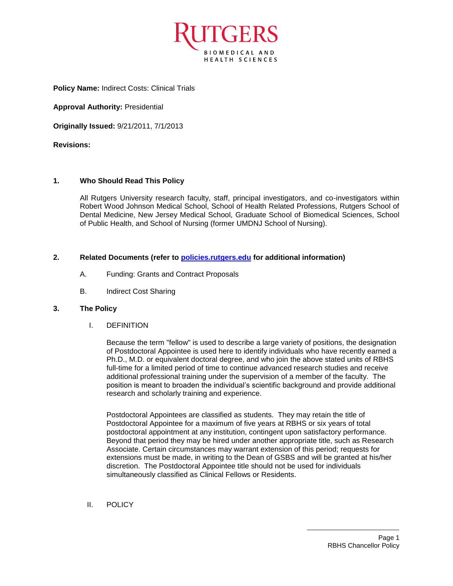

**Policy Name:** Indirect Costs: Clinical Trials

**Approval Authority:** Presidential

**Originally Issued:** 9/21/2011, 7/1/2013

**Revisions:**

## **1. Who Should Read This Policy**

All Rutgers University research faculty, staff, principal investigators, and co-investigators within Robert Wood Johnson Medical School, School of Health Related Professions, Rutgers School of Dental Medicine, New Jersey Medical School, Graduate School of Biomedical Sciences, School of Public Health, and School of Nursing (former UMDNJ School of Nursing).

## **2. Related Documents (refer to [policies.rutgers.edu](file:///C:/Users/rsedlackpr001/Documents/Rutgers/Policies/RBHS%20Policies/policies.rutgers.edu) for additional information)**

- A. Funding: Grants and Contract Proposals
- B. Indirect Cost Sharing

## **3. The Policy**

I. DEFINITION

Because the term "fellow" is used to describe a large variety of positions, the designation of Postdoctoral Appointee is used here to identify individuals who have recently earned a Ph.D., M.D. or equivalent doctoral degree, and who join the above stated units of RBHS full-time for a limited period of time to continue advanced research studies and receive additional professional training under the supervision of a member of the faculty. The position is meant to broaden the individual's scientific background and provide additional research and scholarly training and experience.

Postdoctoral Appointees are classified as students. They may retain the title of Postdoctoral Appointee for a maximum of five years at RBHS or six years of total postdoctoral appointment at any institution, contingent upon satisfactory performance. Beyond that period they may be hired under another appropriate title, such as Research Associate. Certain circumstances may warrant extension of this period; requests for extensions must be made, in writing to the Dean of GSBS and will be granted at his/her discretion. The Postdoctoral Appointee title should not be used for individuals simultaneously classified as Clinical Fellows or Residents.

II. POLICY